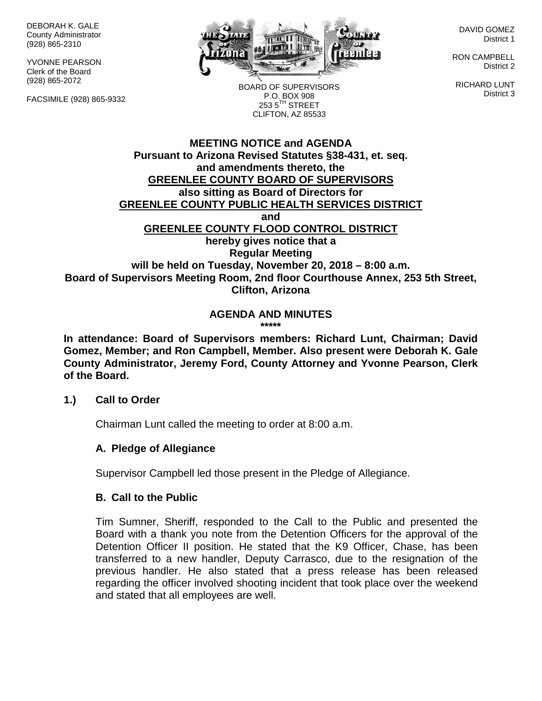DEBORAH K. GALE County Administrator (928) 865-2310

YVONNE PEARSON Clerk of the Board (928) 865-2072

FACSIMILE (928) 865-9332



BOARD OF SUPERVISORS P.O. BOX 908  $253.5$ <sup>TH</sup> STREET CLIFTON, AZ 85533

DAVID GOMEZ District 1

RON CAMPBELL District 2

RICHARD LUNT District 3

# **MEETING NOTICE and AGENDA Pursuant to Arizona Revised Statutes §38-431, et. seq. and amendments thereto, the GREENLEE COUNTY BOARD OF SUPERVISORS also sitting as Board of Directors for GREENLEE COUNTY PUBLIC HEALTH SERVICES DISTRICT and GREENLEE COUNTY FLOOD CONTROL DISTRICT hereby gives notice that a Regular Meeting will be held on Tuesday, November 20, 2018 – 8:00 a.m. Board of Supervisors Meeting Room, 2nd floor Courthouse Annex, 253 5th Street, Clifton, Arizona**

**AGENDA AND MINUTES \*\*\*\*\***

**In attendance: Board of Supervisors members: Richard Lunt, Chairman; David Gomez, Member; and Ron Campbell, Member. Also present were Deborah K. Gale County Administrator, Jeremy Ford, County Attorney and Yvonne Pearson, Clerk of the Board.**

#### **1.) Call to Order**

Chairman Lunt called the meeting to order at 8:00 a.m.

## **A. Pledge of Allegiance**

Supervisor Campbell led those present in the Pledge of Allegiance.

#### **B. Call to the Public**

Tim Sumner, Sheriff, responded to the Call to the Public and presented the Board with a thank you note from the Detention Officers for the approval of the Detention Officer II position. He stated that the K9 Officer, Chase, has been transferred to a new handler, Deputy Carrasco, due to the resignation of the previous handler. He also stated that a press release has been released regarding the officer involved shooting incident that took place over the weekend and stated that all employees are well.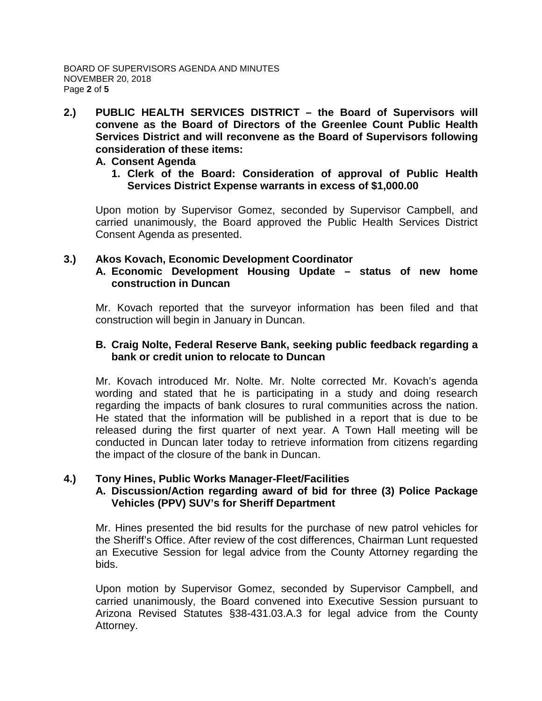**2.) PUBLIC HEALTH SERVICES DISTRICT – the Board of Supervisors will convene as the Board of Directors of the Greenlee Count Public Health Services District and will reconvene as the Board of Supervisors following consideration of these items:**

### **A. Consent Agenda**

**1. Clerk of the Board: Consideration of approval of Public Health Services District Expense warrants in excess of \$1,000.00**

Upon motion by Supervisor Gomez, seconded by Supervisor Campbell, and carried unanimously, the Board approved the Public Health Services District Consent Agenda as presented.

# **3.) Akos Kovach, Economic Development Coordinator**

## **A. Economic Development Housing Update – status of new home construction in Duncan**

Mr. Kovach reported that the surveyor information has been filed and that construction will begin in January in Duncan.

### **B. Craig Nolte, Federal Reserve Bank, seeking public feedback regarding a bank or credit union to relocate to Duncan**

Mr. Kovach introduced Mr. Nolte. Mr. Nolte corrected Mr. Kovach's agenda wording and stated that he is participating in a study and doing research regarding the impacts of bank closures to rural communities across the nation. He stated that the information will be published in a report that is due to be released during the first quarter of next year. A Town Hall meeting will be conducted in Duncan later today to retrieve information from citizens regarding the impact of the closure of the bank in Duncan.

## **4.) Tony Hines, Public Works Manager-Fleet/Facilities**

# **A. Discussion/Action regarding award of bid for three (3) Police Package Vehicles (PPV) SUV's for Sheriff Department**

Mr. Hines presented the bid results for the purchase of new patrol vehicles for the Sheriff's Office. After review of the cost differences, Chairman Lunt requested an Executive Session for legal advice from the County Attorney regarding the bids.

Upon motion by Supervisor Gomez, seconded by Supervisor Campbell, and carried unanimously, the Board convened into Executive Session pursuant to Arizona Revised Statutes §38-431.03.A.3 for legal advice from the County Attorney.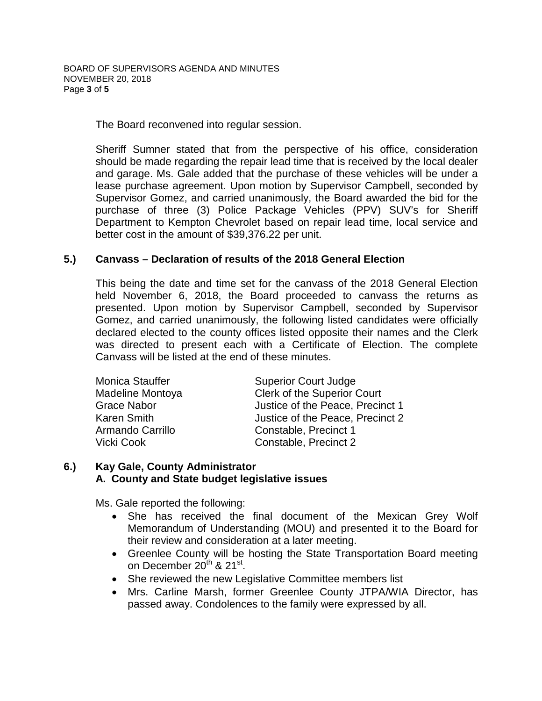The Board reconvened into regular session.

Sheriff Sumner stated that from the perspective of his office, consideration should be made regarding the repair lead time that is received by the local dealer and garage. Ms. Gale added that the purchase of these vehicles will be under a lease purchase agreement. Upon motion by Supervisor Campbell, seconded by Supervisor Gomez, and carried unanimously, the Board awarded the bid for the purchase of three (3) Police Package Vehicles (PPV) SUV's for Sheriff Department to Kempton Chevrolet based on repair lead time, local service and better cost in the amount of \$39,376.22 per unit.

### **5.) Canvass – Declaration of results of the 2018 General Election**

This being the date and time set for the canvass of the 2018 General Election held November 6, 2018, the Board proceeded to canvass the returns as presented. Upon motion by Supervisor Campbell, seconded by Supervisor Gomez, and carried unanimously, the following listed candidates were officially declared elected to the county offices listed opposite their names and the Clerk was directed to present each with a Certificate of Election. The complete Canvass will be listed at the end of these minutes.

| <b>Superior Court Judge</b>        |
|------------------------------------|
| <b>Clerk of the Superior Court</b> |
| Justice of the Peace, Precinct 1   |
| Justice of the Peace, Precinct 2   |
| Constable, Precinct 1              |
| Constable, Precinct 2              |
|                                    |

#### **6.) Kay Gale, County Administrator A. County and State budget legislative issues**

Ms. Gale reported the following:

- She has received the final document of the Mexican Grey Wolf Memorandum of Understanding (MOU) and presented it to the Board for their review and consideration at a later meeting.
- Greenlee County will be hosting the State Transportation Board meeting on December  $20^{th}$  &  $21^{st}$ .
- She reviewed the new Legislative Committee members list
- Mrs. Carline Marsh, former Greenlee County JTPA/WIA Director, has passed away. Condolences to the family were expressed by all.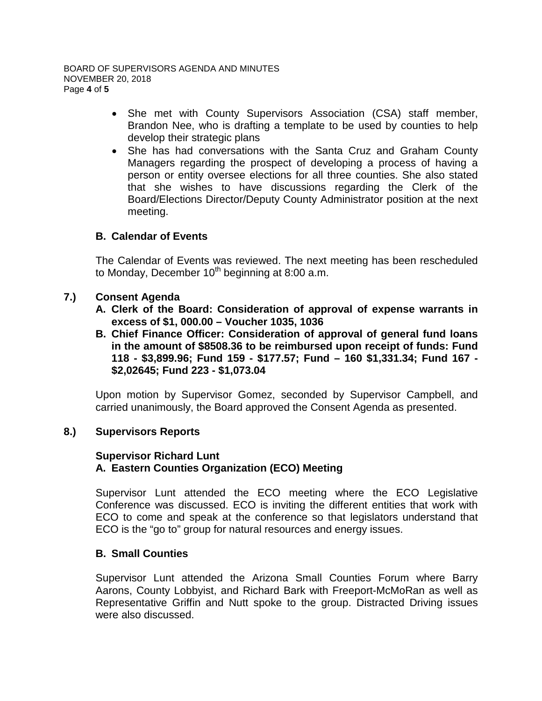- She met with County Supervisors Association (CSA) staff member, Brandon Nee, who is drafting a template to be used by counties to help develop their strategic plans
- She has had conversations with the Santa Cruz and Graham County Managers regarding the prospect of developing a process of having a person or entity oversee elections for all three counties. She also stated that she wishes to have discussions regarding the Clerk of the Board/Elections Director/Deputy County Administrator position at the next meeting.

# **B. Calendar of Events**

The Calendar of Events was reviewed. The next meeting has been rescheduled to Monday, December  $10^{th}$  beginning at 8:00 a.m.

## **7.) Consent Agenda**

- **A. Clerk of the Board: Consideration of approval of expense warrants in excess of \$1, 000.00 – Voucher 1035, 1036**
- **B. Chief Finance Officer: Consideration of approval of general fund loans in the amount of \$8508.36 to be reimbursed upon receipt of funds: Fund 118 - \$3,899.96; Fund 159 - \$177.57; Fund – 160 \$1,331.34; Fund 167 - \$2,02645; Fund 223 - \$1,073.04**

Upon motion by Supervisor Gomez, seconded by Supervisor Campbell, and carried unanimously, the Board approved the Consent Agenda as presented.

## **8.) Supervisors Reports**

## **Supervisor Richard Lunt A. Eastern Counties Organization (ECO) Meeting**

Supervisor Lunt attended the ECO meeting where the ECO Legislative Conference was discussed. ECO is inviting the different entities that work with ECO to come and speak at the conference so that legislators understand that ECO is the "go to" group for natural resources and energy issues.

## **B. Small Counties**

Supervisor Lunt attended the Arizona Small Counties Forum where Barry Aarons, County Lobbyist, and Richard Bark with Freeport-McMoRan as well as Representative Griffin and Nutt spoke to the group. Distracted Driving issues were also discussed.